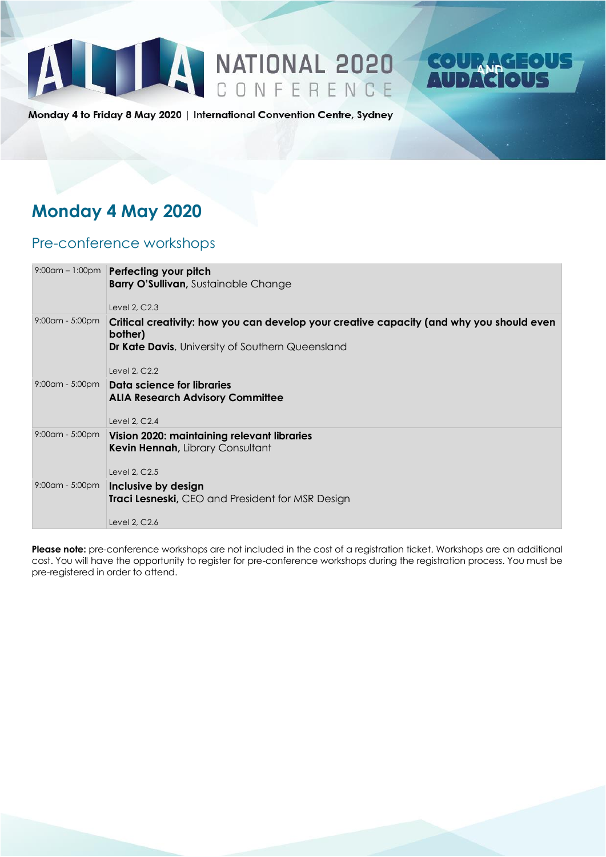



Monday 4 to Friday 8 May 2020 | International Convention Centre, Sydney

### **Monday 4 May 2020**

#### Pre-conference workshops

|                    | 9:00am - 1:00pm Perfecting your pitch<br><b>Barry O'Sullivan, Sustainable Change</b><br>Level 2, C2.3                                                                    |
|--------------------|--------------------------------------------------------------------------------------------------------------------------------------------------------------------------|
| $9:00$ am - 5:00pm | Critical creativity: how you can develop your creative capacity (and why you should even<br>bother)<br>Dr Kate Davis, University of Southern Queensland<br>Level 2, C2.2 |
|                    | 9:00am - 5:00pm   Data science for libraries<br><b>ALIA Research Advisory Committee</b><br>Level 2, C2.4                                                                 |
| $9:00$ am - 5:00pm | Vision 2020: maintaining relevant libraries<br>Kevin Hennah, Library Consultant<br>Level 2, C2.5                                                                         |
| $9:00$ am - 5:00pm | Inclusive by design<br>Traci Lesneski, CEO and President for MSR Design<br>Level 2, C2.6                                                                                 |

**Please note:** pre-conference workshops are not included in the cost of a registration ticket. Workshops are an additional cost. You will have the opportunity to register for pre-conference workshops during the registration process. You must be pre-registered in order to attend.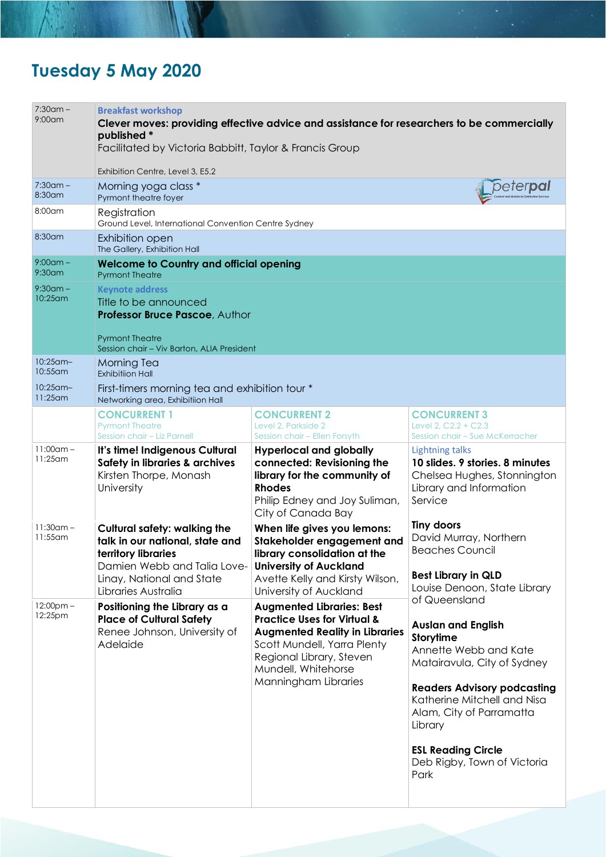## **Tuesday 5 May 2020**

| $7:30$ am –<br>$9:00$ am   | <b>Breakfast workshop</b><br>published *<br>Facilitated by Victoria Babbitt, Taylor & Francis Group                                                                              | Clever moves: providing effective advice and assistance for researchers to be commercially                                                                                                                                    |                                                                                                                                                                                                                                                                                                 |
|----------------------------|----------------------------------------------------------------------------------------------------------------------------------------------------------------------------------|-------------------------------------------------------------------------------------------------------------------------------------------------------------------------------------------------------------------------------|-------------------------------------------------------------------------------------------------------------------------------------------------------------------------------------------------------------------------------------------------------------------------------------------------|
|                            | Exhibition Centre, Level 3, E5.2                                                                                                                                                 |                                                                                                                                                                                                                               |                                                                                                                                                                                                                                                                                                 |
| $7:30$ am –<br>$8:30$ am   | Morning yoga class *<br>Pyrmont theatre foyer                                                                                                                                    |                                                                                                                                                                                                                               | peter <b>pal</b>                                                                                                                                                                                                                                                                                |
| 8:00am                     | Registration<br>Ground Level, International Convention Centre Sydney                                                                                                             |                                                                                                                                                                                                                               |                                                                                                                                                                                                                                                                                                 |
| 8:30am                     | Exhibition open<br>The Gallery, Exhibition Hall                                                                                                                                  |                                                                                                                                                                                                                               |                                                                                                                                                                                                                                                                                                 |
| $9:00$ am –<br>$9:30$ am   | <b>Welcome to Country and official opening</b><br><b>Pyrmont Theatre</b>                                                                                                         |                                                                                                                                                                                                                               |                                                                                                                                                                                                                                                                                                 |
| $9:30$ am –<br>10:25 am    | <b>Keynote address</b><br>Title to be announced<br>Professor Bruce Pascoe, Author<br><b>Pyrmont Theatre</b><br>Session chair - Viv Barton, ALIA President                        |                                                                                                                                                                                                                               |                                                                                                                                                                                                                                                                                                 |
| $10:25$ am-                | Morning Tea                                                                                                                                                                      |                                                                                                                                                                                                                               |                                                                                                                                                                                                                                                                                                 |
| $10:55$ am<br>$10:25$ am-  | <b>Exhibitiion Hall</b>                                                                                                                                                          |                                                                                                                                                                                                                               |                                                                                                                                                                                                                                                                                                 |
| $11:25$ am                 | First-timers morning tea and exhibition tour *<br>Networking area, Exhibitiion Hall                                                                                              |                                                                                                                                                                                                                               |                                                                                                                                                                                                                                                                                                 |
|                            | <b>CONCURRENT 1</b><br><b>Pyrmont Theatre</b><br>Session chair - Liz Parnell                                                                                                     | <b>CONCURRENT 2</b><br>Level 2, Parkside 2<br>Session chair - Ellen Forsyth                                                                                                                                                   | <b>CONCURRENT 3</b><br>Level 2, C2.2 + C2.3<br>Session chair - Sue McKerracher                                                                                                                                                                                                                  |
| $11:00$ am -<br>$11:25$ am | It's time! Indigenous Cultural<br>Safety in libraries & archives<br>Kirsten Thorpe, Monash<br>University                                                                         | <b>Hyperlocal and globally</b><br>connected: Revisioning the<br>library for the community of<br><b>Rhodes</b><br>Philip Edney and Joy Suliman,<br>City of Canada Bay                                                          | <b>Lightning talks</b><br>10 slides. 9 stories. 8 minutes<br>Chelsea Hughes, Stonnington<br>Library and Information<br>Service                                                                                                                                                                  |
| $11:30$ am -<br>11:55am    | <b>Cultural safety: walking the</b><br>talk in our national, state and<br>territory libraries<br>Damien Webb and Talia Love-<br>Linay, National and State<br>Libraries Australia | When life gives you lemons:<br>Stakeholder engagement and<br>library consolidation at the<br><b>University of Auckland</b><br>Avette Kelly and Kirsty Wilson,<br>University of Auckland                                       | <b>Tiny doors</b><br>David Murray, Northern<br><b>Beaches Council</b><br><b>Best Library in QLD</b><br>Louise Denoon, State Library                                                                                                                                                             |
| $12:00$ pm $-$<br>12:25pm  | Positioning the Library as a<br><b>Place of Cultural Safety</b><br>Renee Johnson, University of<br>Adelaide                                                                      | <b>Augmented Libraries: Best</b><br><b>Practice Uses for Virtual &amp;</b><br><b>Augmented Reality in Libraries</b><br>Scott Mundell, Yarra Plenty<br>Regional Library, Steven<br>Mundell, Whitehorse<br>Manningham Libraries | of Queensland<br><b>Auslan and English</b><br>Storytime<br>Annette Webb and Kate<br>Matairavula, City of Sydney<br><b>Readers Advisory podcasting</b><br>Katherine Mitchell and Nisa<br>Alam, City of Parramatta<br>Library<br><b>ESL Reading Circle</b><br>Deb Rigby, Town of Victoria<br>Park |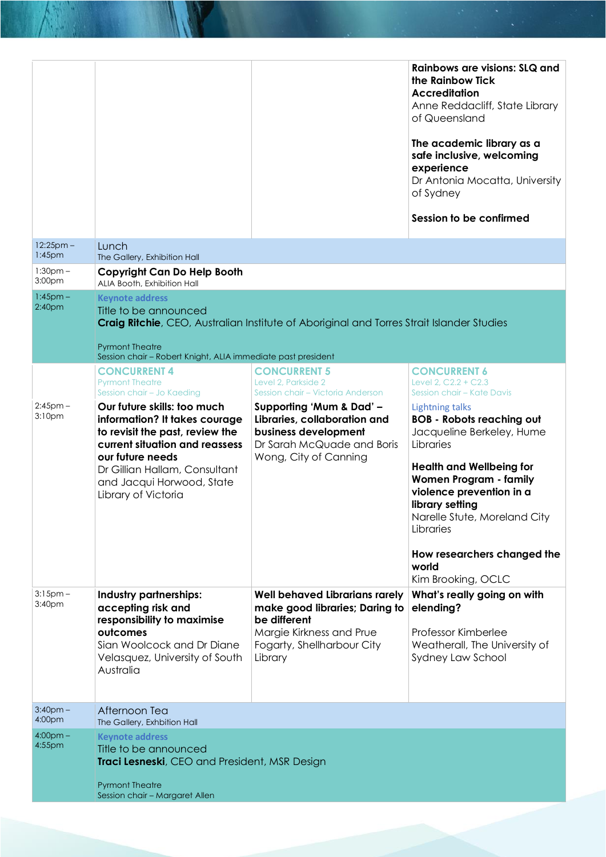|                                     |                                                                                                                                                                                                                                            |                                                                                                                                                              | Rainbows are visions: SLQ and<br>the Rainbow Tick<br><b>Accreditation</b><br>Anne Reddacliff, State Library<br>of Queensland<br>The academic library as a<br>safe inclusive, welcoming<br>experience<br>Dr Antonia Mocatta, University<br>of Sydney<br>Session to be confirmed                                              |
|-------------------------------------|--------------------------------------------------------------------------------------------------------------------------------------------------------------------------------------------------------------------------------------------|--------------------------------------------------------------------------------------------------------------------------------------------------------------|-----------------------------------------------------------------------------------------------------------------------------------------------------------------------------------------------------------------------------------------------------------------------------------------------------------------------------|
| $12:25$ pm –<br>1:45 <sub>pm</sub>  | Lunch<br>The Gallery, Exhibition Hall                                                                                                                                                                                                      |                                                                                                                                                              |                                                                                                                                                                                                                                                                                                                             |
| $1:30pm -$<br>3:00 <sub>pm</sub>    | <b>Copyright Can Do Help Booth</b><br>ALIA Booth, Exhibition Hall                                                                                                                                                                          |                                                                                                                                                              |                                                                                                                                                                                                                                                                                                                             |
| $1:45$ pm $-$<br>2:40 <sub>pm</sub> | <b>Keynote address</b><br>Title to be announced<br><b>Pyrmont Theatre</b><br>Session chair - Robert Knight, ALIA immediate past president<br><b>CONCURRENT 4</b>                                                                           | Craig Ritchie, CEO, Australian Institute of Aboriginal and Torres Strait Islander Studies<br><b>CONCURRENT 5</b>                                             | <b>CONCURRENT 6</b>                                                                                                                                                                                                                                                                                                         |
|                                     | <b>Pyrmont Theatre</b><br>Session chair - Jo Kaeding                                                                                                                                                                                       | Level 2, Parkside 2<br>Session chair - Victoria Anderson                                                                                                     | Level 2, C2.2 + C2.3<br>Session chair – Kate Davis                                                                                                                                                                                                                                                                          |
| $2:45$ pm $-$<br>3:10pm             | Our future skills: too much<br>information? It takes courage<br>to revisit the past, review the<br>current situation and reassess<br>our future needs<br>Dr Gillian Hallam, Consultant<br>and Jacqui Horwood, State<br>Library of Victoria | Supporting 'Mum & Dad' -<br>Libraries, collaboration and<br>business development<br>Dr Sarah McQuade and Boris<br>Wong, City of Canning                      | <b>Lightning talks</b><br><b>BOB - Robots reaching out</b><br>Jacqueline Berkeley, Hume<br>Libraries<br><b>Health and Wellbeing for</b><br>Women Program - family<br>violence prevention in a<br>library setting<br>Narelle Stute, Moreland City<br>Libraries<br>How researchers changed the<br>world<br>Kim Brooking, OCLC |
| $3:15$ pm $-$<br>3:40 <sub>pm</sub> | Industry partnerships:<br>accepting risk and<br>responsibility to maximise<br>outcomes<br>Sian Woolcock and Dr Diane<br>Velasquez, University of South<br>Australia                                                                        | <b>Well behaved Librarians rarely</b><br>make good libraries; Daring to<br>be different<br>Margie Kirkness and Prue<br>Fogarty, Shellharbour City<br>Library | What's really going on with<br>elending?<br>Professor Kimberlee<br>Weatherall, The University of<br>Sydney Law School                                                                                                                                                                                                       |
| $3:40$ pm $-$<br>4:00pm             | Afternoon Tea<br>The Gallery, Exhbition Hall                                                                                                                                                                                               |                                                                                                                                                              |                                                                                                                                                                                                                                                                                                                             |
| $4:00pm -$<br>4:55pm                | <b>Keynote address</b><br>Title to be announced<br>Traci Lesneski, CEO and President, MSR Design<br><b>Pyrmont Theatre</b><br>Session chair - Margaret Allen                                                                               |                                                                                                                                                              |                                                                                                                                                                                                                                                                                                                             |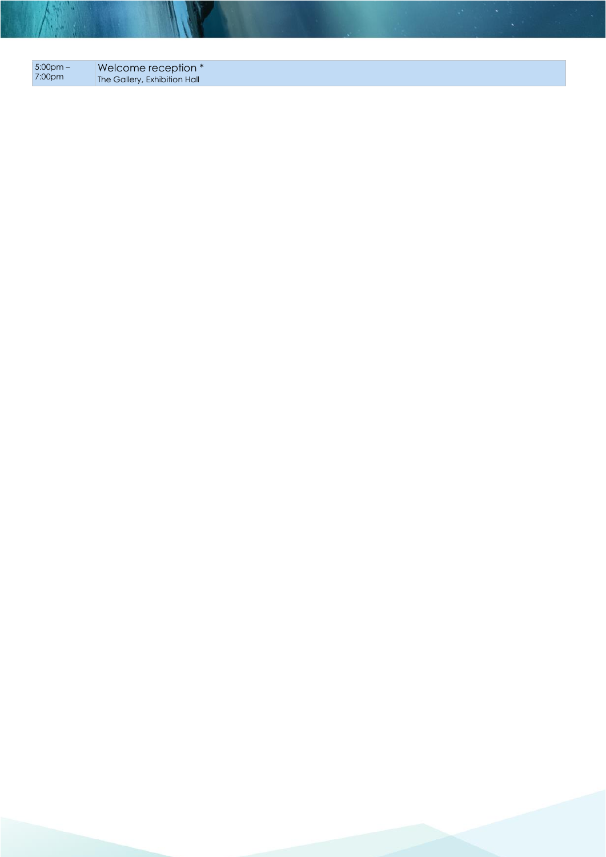| $5:00 \text{pm} - 1$ | Welcome reception *          |
|----------------------|------------------------------|
| 7:00pm               | The Gallery, Exhibition Hall |

A.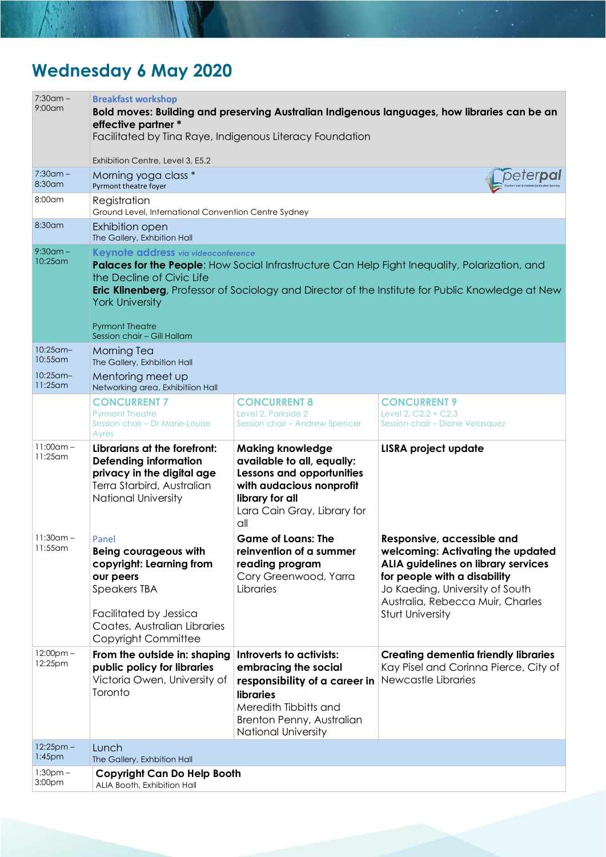# **Wednesday 6 May 2020**

| $7:30$ am -<br>$9:00$ am   | <b>Breakfast workshop</b><br>effective partner *<br>Facilitated by Tina Raye, Indigenous Literacy Foundation                                                                           |                                                                                                                                                                                    | Bold moves: Building and preserving Australian Indigenous languages, how libraries can be an                                                                                                                                             |
|----------------------------|----------------------------------------------------------------------------------------------------------------------------------------------------------------------------------------|------------------------------------------------------------------------------------------------------------------------------------------------------------------------------------|------------------------------------------------------------------------------------------------------------------------------------------------------------------------------------------------------------------------------------------|
|                            | Exhibition Centre, Level 3, E5.2                                                                                                                                                       |                                                                                                                                                                                    |                                                                                                                                                                                                                                          |
| $7:30$ am –<br>$8:30$ am   | Morning yoga class *<br>Pyrmont theatre foyer                                                                                                                                          |                                                                                                                                                                                    | peter <b>pa</b>                                                                                                                                                                                                                          |
| 8:00am                     | Registration<br>Ground Level, International Convention Centre Sydney                                                                                                                   |                                                                                                                                                                                    |                                                                                                                                                                                                                                          |
| 8:30am                     | Exhibition open<br>The Gallery, Exhbition Hall                                                                                                                                         |                                                                                                                                                                                    |                                                                                                                                                                                                                                          |
| $9:30$ am –<br>$10:25$ am  | Keynote address via videoconference<br>the Decline of Civic Life<br><b>York University</b><br><b>Pyrmont Theatre</b><br>Session chair - Gill Hallam                                    |                                                                                                                                                                                    | Palaces for the People: How Social Infrastructure Can Help Fight Inequality, Polarization, and<br><b>Eric Klinenberg</b> , Professor of Sociology and Director of the Institute for Public Knowledge at New                              |
| $10:25$ am-<br>$10:55$ am  | <b>Morning Tea</b><br>The Gallery, Exhbition Hall                                                                                                                                      |                                                                                                                                                                                    |                                                                                                                                                                                                                                          |
| $10:25$ am-<br>$11:25$ am  | Mentoring meet up<br>Networking area, Exhibitiion Hall                                                                                                                                 |                                                                                                                                                                                    |                                                                                                                                                                                                                                          |
|                            | <b>CONCURRENT 7</b><br><b>Pyrmont Theatre</b><br>Session chair - Dr Marie-Louise<br>Ayres                                                                                              | <b>CONCURRENT 8</b><br>Level 2, Parkside 2<br>Session chair - Andrew Spencer                                                                                                       | <b>CONCURRENT 9</b><br>Level 2, C2.2 + C2.3<br>Session chair - Diane Velasquez                                                                                                                                                           |
| $11:00$ am -<br>$11:25$ am | Librarians at the forefront:<br><b>Defending information</b><br>privacy in the digital age<br>Terra Starbird, Australian<br>National University                                        | <b>Making knowledge</b><br>available to all, equally:<br>Lessons and opportunities<br>with audacious nonprofit<br>library for all<br>Lara Cain Gray, Library for<br>all            | <b>LISRA project update</b>                                                                                                                                                                                                              |
| $11:30$ am –<br>11:55am    | Panel<br><b>Being courageous with</b><br>copyright: Learning from<br>our peers<br><b>Speakers TBA</b><br>Facilitated by Jessica<br>Coates, Australian Libraries<br>Copyright Committee | <b>Game of Loans: The</b><br>reinvention of a summer<br>reading program<br>Cory Greenwood, Yarra<br>Libraries                                                                      | Responsive, accessible and<br>welcoming: Activating the updated<br>ALIA guidelines on library services<br>for people with a disability<br>Jo Kaeding, University of South<br>Australia, Rebecca Muir, Charles<br><b>Sturt University</b> |
| $12:00$ pm –<br>12:25pm    | From the outside in: shaping<br>public policy for libraries<br>Victoria Owen, University of<br>Toronto                                                                                 | Introverts to activists:<br>embracing the social<br>responsibility of a career in<br>libraries<br>Meredith Tibbitts and<br>Brenton Penny, Australian<br><b>National University</b> | <b>Creating dementia friendly libraries</b><br>Kay Pisel and Corinna Pierce, City of<br>Newcastle Libraries                                                                                                                              |
| $12:25$ pm –<br>$1:45$ pm  | Lunch<br>The Gallery, Exhbition Hall                                                                                                                                                   |                                                                                                                                                                                    |                                                                                                                                                                                                                                          |
| $1:30pm -$<br>3:00pm       | <b>Copyright Can Do Help Booth</b><br>ALIA Booth, Exhibition Hall                                                                                                                      |                                                                                                                                                                                    |                                                                                                                                                                                                                                          |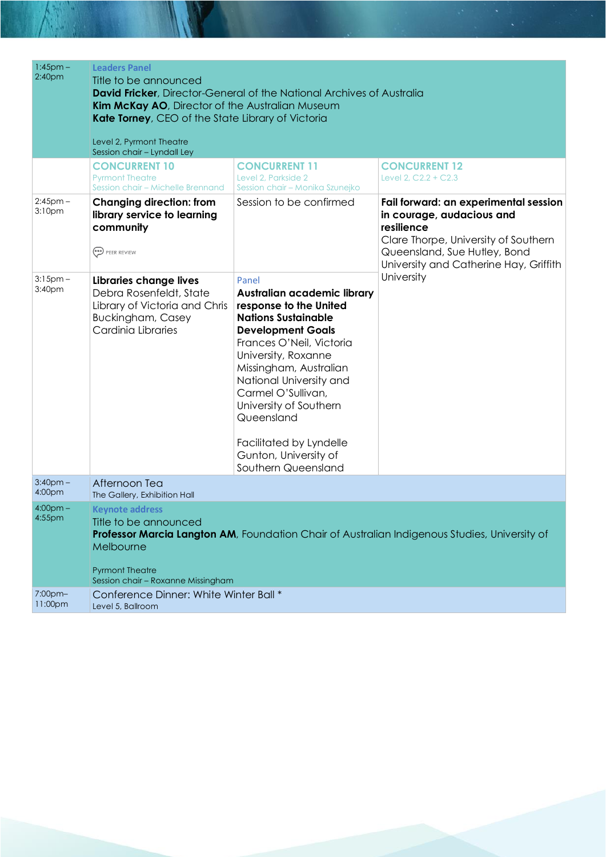| $1:45$ pm $-$                       | <b>Leaders Panel</b>                                                                                                                                                                                           |                                                                                                                                                                                                                                                                                                                                                                           |                                                                                                                                                                                                    |
|-------------------------------------|----------------------------------------------------------------------------------------------------------------------------------------------------------------------------------------------------------------|---------------------------------------------------------------------------------------------------------------------------------------------------------------------------------------------------------------------------------------------------------------------------------------------------------------------------------------------------------------------------|----------------------------------------------------------------------------------------------------------------------------------------------------------------------------------------------------|
| 2:40 <sub>pm</sub>                  | Title to be announced<br><b>David Fricker</b> , Director-General of the National Archives of Australia<br>Kim McKay AO, Director of the Australian Museum<br>Kate Torney, CEO of the State Library of Victoria |                                                                                                                                                                                                                                                                                                                                                                           |                                                                                                                                                                                                    |
|                                     | Level 2, Pyrmont Theatre<br>Session chair - Lyndall Ley                                                                                                                                                        |                                                                                                                                                                                                                                                                                                                                                                           |                                                                                                                                                                                                    |
|                                     | <b>CONCURRENT 10</b><br><b>Pyrmont Theatre</b><br>Session chair - Michelle Brennand                                                                                                                            | <b>CONCURRENT 11</b><br>Level 2, Parkside 2<br>Session chair - Monika Szunejko                                                                                                                                                                                                                                                                                            | <b>CONCURRENT 12</b><br>Level 2, C2.2 + C2.3                                                                                                                                                       |
| $2:45$ pm $-$<br>3:10 <sub>pm</sub> | <b>Changing direction: from</b><br>library service to learning<br>community<br>PEER REVIEW                                                                                                                     | Session to be confirmed                                                                                                                                                                                                                                                                                                                                                   | Fail forward: an experimental session<br>in courage, audacious and<br>resilience<br>Clare Thorpe, University of Southern<br>Queensland, Sue Hutley, Bond<br>University and Catherine Hay, Griffith |
| $3:15$ pm $-$<br>3:40pm             | <b>Libraries change lives</b><br>Debra Rosenfeldt, State<br>Library of Victoria and Chris<br><b>Buckingham, Casey</b><br>Cardinia Libraries                                                                    | Panel<br>Australian academic library<br>response to the United<br><b>Nations Sustainable</b><br><b>Development Goals</b><br>Frances O'Neil, Victoria<br>University, Roxanne<br>Missingham, Australian<br>National University and<br>Carmel O'Sullivan,<br>University of Southern<br>Queensland<br>Facilitated by Lyndelle<br>Gunton, University of<br>Southern Queensland | University                                                                                                                                                                                         |
| $3:40$ pm $-$<br>4:00pm             | Afternoon Tea<br>The Gallery, Exhibition Hall                                                                                                                                                                  |                                                                                                                                                                                                                                                                                                                                                                           |                                                                                                                                                                                                    |
| $4:00pm -$<br>$4:55$ pm             | <b>Keynote address</b><br>Title to be announced<br>Melbourne<br><b>Pyrmont Theatre</b><br>Session chair - Roxanne Missingham                                                                                   |                                                                                                                                                                                                                                                                                                                                                                           | Professor Marcia Langton AM, Foundation Chair of Australian Indigenous Studies, University of                                                                                                      |
| 7:00pm-<br>11:00pm                  | Conference Dinner: White Winter Ball *<br>Level 5, Ballroom                                                                                                                                                    |                                                                                                                                                                                                                                                                                                                                                                           |                                                                                                                                                                                                    |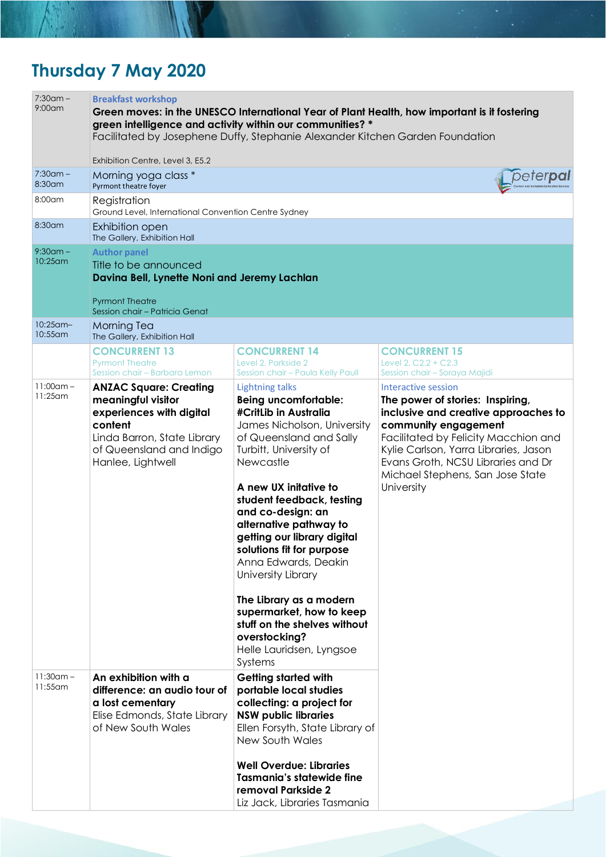# **Thursday 7 May 2020**

| <b>Breakfast workshop</b>                                                                                                                                                  |                                                                                                                                                                                                                                                                                                                                                                                                                                                                                                                                               |                                                                                                                                                                                                                                                                                                                                                                                    |
|----------------------------------------------------------------------------------------------------------------------------------------------------------------------------|-----------------------------------------------------------------------------------------------------------------------------------------------------------------------------------------------------------------------------------------------------------------------------------------------------------------------------------------------------------------------------------------------------------------------------------------------------------------------------------------------------------------------------------------------|------------------------------------------------------------------------------------------------------------------------------------------------------------------------------------------------------------------------------------------------------------------------------------------------------------------------------------------------------------------------------------|
| Exhibition Centre, Level 3, E5.2                                                                                                                                           |                                                                                                                                                                                                                                                                                                                                                                                                                                                                                                                                               |                                                                                                                                                                                                                                                                                                                                                                                    |
| Pyrmont theatre foyer                                                                                                                                                      |                                                                                                                                                                                                                                                                                                                                                                                                                                                                                                                                               | peter <b>pa</b>                                                                                                                                                                                                                                                                                                                                                                    |
| Registration                                                                                                                                                               |                                                                                                                                                                                                                                                                                                                                                                                                                                                                                                                                               |                                                                                                                                                                                                                                                                                                                                                                                    |
| <b>Exhibition open</b><br>The Gallery, Exhibition Hall                                                                                                                     |                                                                                                                                                                                                                                                                                                                                                                                                                                                                                                                                               |                                                                                                                                                                                                                                                                                                                                                                                    |
| <b>Author panel</b><br>Title to be announced<br><b>Pyrmont Theatre</b><br>Session chair - Patricia Genat                                                                   |                                                                                                                                                                                                                                                                                                                                                                                                                                                                                                                                               |                                                                                                                                                                                                                                                                                                                                                                                    |
| <b>Morning Tea</b>                                                                                                                                                         |                                                                                                                                                                                                                                                                                                                                                                                                                                                                                                                                               |                                                                                                                                                                                                                                                                                                                                                                                    |
| <b>CONCURRENT 13</b><br><b>Pyrmont Theatre</b><br>Session chair - Barbara Lemon                                                                                            | <b>CONCURRENT 14</b><br>Level 2, Parkside 2<br>Session chair - Paula Kelly Paull                                                                                                                                                                                                                                                                                                                                                                                                                                                              | <b>CONCURRENT 15</b><br>Level 2, C2.2 + C2.3<br>Session chair - Soraya Majidi                                                                                                                                                                                                                                                                                                      |
| <b>ANZAC Square: Creating</b><br>meaningful visitor<br>experiences with digital<br>content<br>Linda Barron, State Library<br>of Queensland and Indigo<br>Hanlee, Lightwell | <b>Lightning talks</b><br><b>Being uncomfortable:</b><br>#CritLib in Australia<br>James Nicholson, University<br>of Queensland and Sally<br>Turbitt, University of<br>Newcastle<br>A new UX initative to<br>student feedback, testing<br>and co-design: an<br>alternative pathway to<br>getting our library digital<br>solutions fit for purpose<br>Anna Edwards, Deakin<br>University Library<br>The Library as a modern<br>supermarket, how to keep<br>stuff on the shelves without<br>overstocking?<br>Helle Lauridsen, Lyngsoe<br>Systems | Interactive session<br>The power of stories: Inspiring,<br>inclusive and creative approaches to<br>community engagement<br>Facilitated by Felicity Macchion and<br>Kylie Carlson, Yarra Libraries, Jason<br>Evans Groth, NCSU Libraries and Dr<br>Michael Stephens, San Jose State<br>University                                                                                   |
| An exhibition with a<br>difference: an audio tour of<br>a lost cementary<br>Elise Edmonds, State Library<br>of New South Wales                                             | <b>Getting started with</b><br>portable local studies<br>collecting: a project for<br><b>NSW public libraries</b><br>Ellen Forsyth, State Library of<br>New South Wales<br><b>Well Overdue: Libraries</b><br><b>Tasmania's statewide fine</b><br>removal Parkside 2                                                                                                                                                                                                                                                                           |                                                                                                                                                                                                                                                                                                                                                                                    |
|                                                                                                                                                                            | Morning yoga class *<br>The Gallery, Exhibition Hall                                                                                                                                                                                                                                                                                                                                                                                                                                                                                          | Green moves: in the UNESCO International Year of Plant Health, how important is it fostering<br>green intelligence and activity within our communities? *<br>Facilitated by Josephene Duffy, Stephanie Alexander Kitchen Garden Foundation<br>Ground Level, International Convention Centre Sydney<br>Davina Bell, Lynette Noni and Jeremy Lachlan<br>Liz Jack, Libraries Tasmania |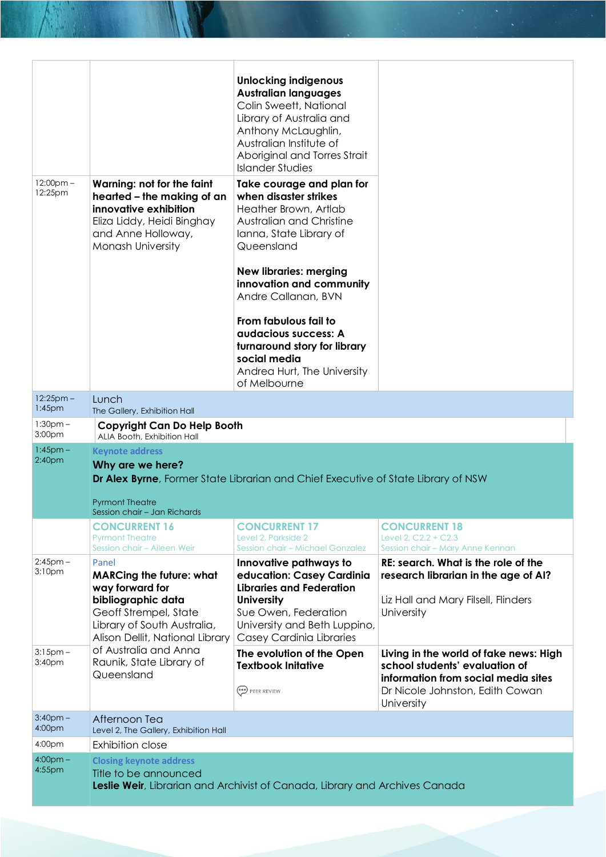|                                  |                                                                                                                                                                              | <b>Unlocking indigenous</b><br><b>Australian languages</b><br>Colin Sweett, National<br>Library of Australia and<br>Anthony McLaughlin,<br>Australian Institute of<br>Aboriginal and Torres Strait<br><b>Islander Studies</b> |                                                                                                                                                                  |
|----------------------------------|------------------------------------------------------------------------------------------------------------------------------------------------------------------------------|-------------------------------------------------------------------------------------------------------------------------------------------------------------------------------------------------------------------------------|------------------------------------------------------------------------------------------------------------------------------------------------------------------|
| $12:00$ pm –<br>12:25pm          | Warning: not for the faint<br>hearted – the making of an<br>innovative exhibition<br>Eliza Liddy, Heidi Binghay<br>and Anne Holloway,<br>Monash University                   | Take courage and plan for<br>when disaster strikes<br>Heather Brown, Artlab<br>Australian and Christine<br>Ianna, State Library of<br>Queensland                                                                              |                                                                                                                                                                  |
|                                  |                                                                                                                                                                              | <b>New libraries: merging</b><br>innovation and community<br>Andre Callanan, BVN                                                                                                                                              |                                                                                                                                                                  |
|                                  |                                                                                                                                                                              | From fabulous fail to<br>audacious success: A<br>turnaround story for library<br>social media<br>Andrea Hurt, The University<br>of Melbourne                                                                                  |                                                                                                                                                                  |
| $12:25$ pm -<br>$1:45$ pm        | Lunch<br>The Gallery, Exhibition Hall                                                                                                                                        |                                                                                                                                                                                                                               |                                                                                                                                                                  |
| $1:30pm -$<br>3:00 <sub>pm</sub> | <b>Copyright Can Do Help Booth</b>                                                                                                                                           |                                                                                                                                                                                                                               |                                                                                                                                                                  |
| $1:45$ pm $-$                    | ALIA Booth, Exhibition Hall<br><b>Keynote address</b>                                                                                                                        |                                                                                                                                                                                                                               |                                                                                                                                                                  |
| 2:40 <sub>pm</sub>               | Why are we here?                                                                                                                                                             | Dr Alex Byrne, Former State Librarian and Chief Executive of State Library of NSW                                                                                                                                             |                                                                                                                                                                  |
|                                  | <b>Pyrmont Theatre</b><br>Session chair - Jan Richards                                                                                                                       |                                                                                                                                                                                                                               |                                                                                                                                                                  |
|                                  | <b>CONCURRENT 16</b>                                                                                                                                                         | <b>CONCURRENT 17</b>                                                                                                                                                                                                          | <b>CONCURRENT 18</b>                                                                                                                                             |
|                                  | <b>Pyrmont Theatre</b><br>Session chair - Aileen Weir                                                                                                                        | Level 2, Parkside 2<br>Session chair - Michael Gonzalez                                                                                                                                                                       | Level 2, C2.2 + C2.3<br>Session chair - Mary Anne Kennan                                                                                                         |
| $2:45$ pm $-$<br>3:10pm          | Panel<br><b>MARCing the future: what</b><br>way forward for<br>bibliographic data<br>Geoff Strempel, State<br>Library of South Australia,<br>Alison Dellit, National Library | Innovative pathways to<br>education: Casey Cardinia<br><b>Libraries and Federation</b><br><b>University</b><br>Sue Owen, Federation<br>University and Beth Luppino,<br><b>Casey Cardinia Libraries</b>                        | RE: search. What is the role of the<br>research librarian in the age of AI?<br>Liz Hall and Mary Filsell, Flinders<br>University                                 |
| $3:15$ pm –<br>3:40pm            | of Australia and Anna<br>Raunik, State Library of<br>Queensland                                                                                                              | The evolution of the Open<br><b>Textbook Initative</b><br>PEER REVIEW                                                                                                                                                         | Living in the world of fake news: High<br>school students' evaluation of<br>information from social media sites<br>Dr Nicole Johnston, Edith Cowan<br>University |
| $3:40$ pm $-$<br>4:00pm          | Afternoon Tea                                                                                                                                                                |                                                                                                                                                                                                                               |                                                                                                                                                                  |
| 4:00pm                           | Level 2, The Gallery, Exhibition Hall<br><b>Exhibition close</b>                                                                                                             |                                                                                                                                                                                                                               |                                                                                                                                                                  |
| $4:00pm -$                       | <b>Closing keynote address</b>                                                                                                                                               |                                                                                                                                                                                                                               |                                                                                                                                                                  |
| 4:55pm                           | Title to be announced                                                                                                                                                        | Leslie Weir, Librarian and Archivist of Canada, Library and Archives Canada                                                                                                                                                   |                                                                                                                                                                  |

**The Community of the Community of the Community of the Community of the Community of the Community of the Community**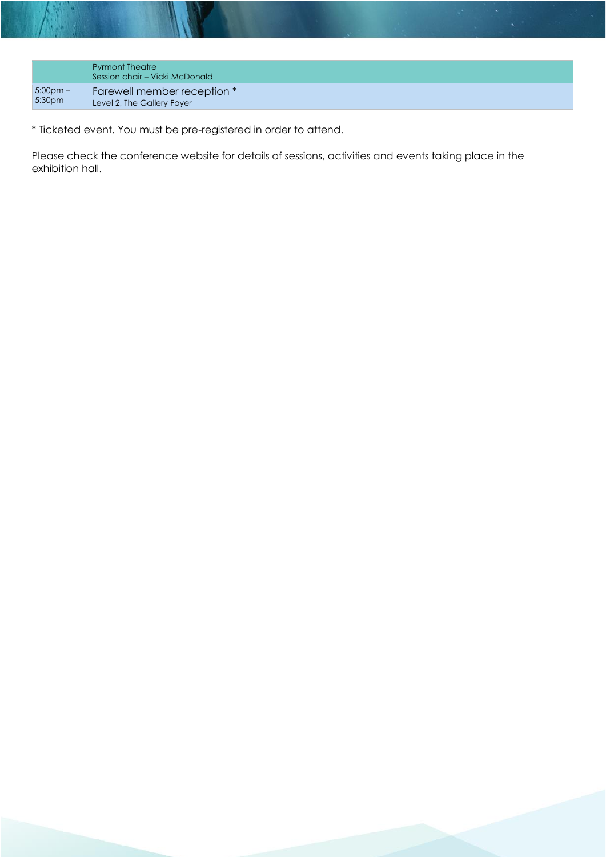|                    | <b>Pyrmont Theatre</b><br>Session chair – Vicki McDonald |
|--------------------|----------------------------------------------------------|
| $5:00$ pm $-$      | Farewell member reception *                              |
| 5:30 <sub>pm</sub> | Level 2, The Gallery Foyer                               |

\* Ticketed event. You must be pre-registered in order to attend.

Please check the conference website for details of sessions, activities and events taking place in the exhibition hall.